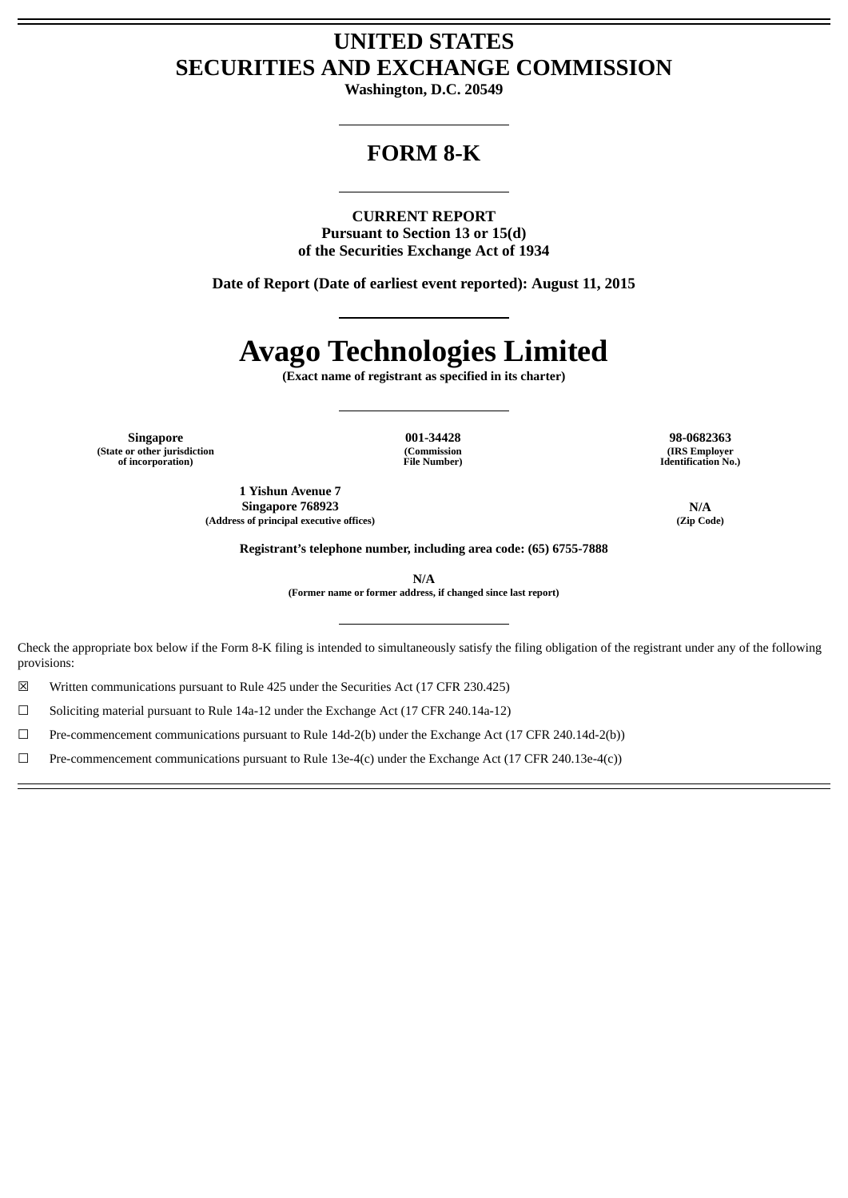# **UNITED STATES SECURITIES AND EXCHANGE COMMISSION**

**Washington, D.C. 20549**

# **FORM 8-K**

**CURRENT REPORT Pursuant to Section 13 or 15(d) of the Securities Exchange Act of 1934**

**Date of Report (Date of earliest event reported): August 11, 2015**

# **Avago Technologies Limited**

**(Exact name of registrant as specified in its charter)**

**Singapore 001-34428 98-0682363 (State or other jurisdiction of incorporation)**

**(Commission File Number)**

**(IRS Employer Identification No.)**

**1 Yishun Avenue 7 Singapore 768923 N/A**<br>
so of principal executive offices) (Zip Code) (2ip Code) **(Address of principal executive offices) (Zip Code)**

**Registrant's telephone number, including area code: (65) 6755-7888**

**N/A**

**(Former name or former address, if changed since last report)**

Check the appropriate box below if the Form 8-K filing is intended to simultaneously satisfy the filing obligation of the registrant under any of the following provisions:

☒ Written communications pursuant to Rule 425 under the Securities Act (17 CFR 230.425)

☐ Soliciting material pursuant to Rule 14a-12 under the Exchange Act (17 CFR 240.14a-12)

☐ Pre-commencement communications pursuant to Rule 14d-2(b) under the Exchange Act (17 CFR 240.14d-2(b))

☐ Pre-commencement communications pursuant to Rule 13e-4(c) under the Exchange Act (17 CFR 240.13e-4(c))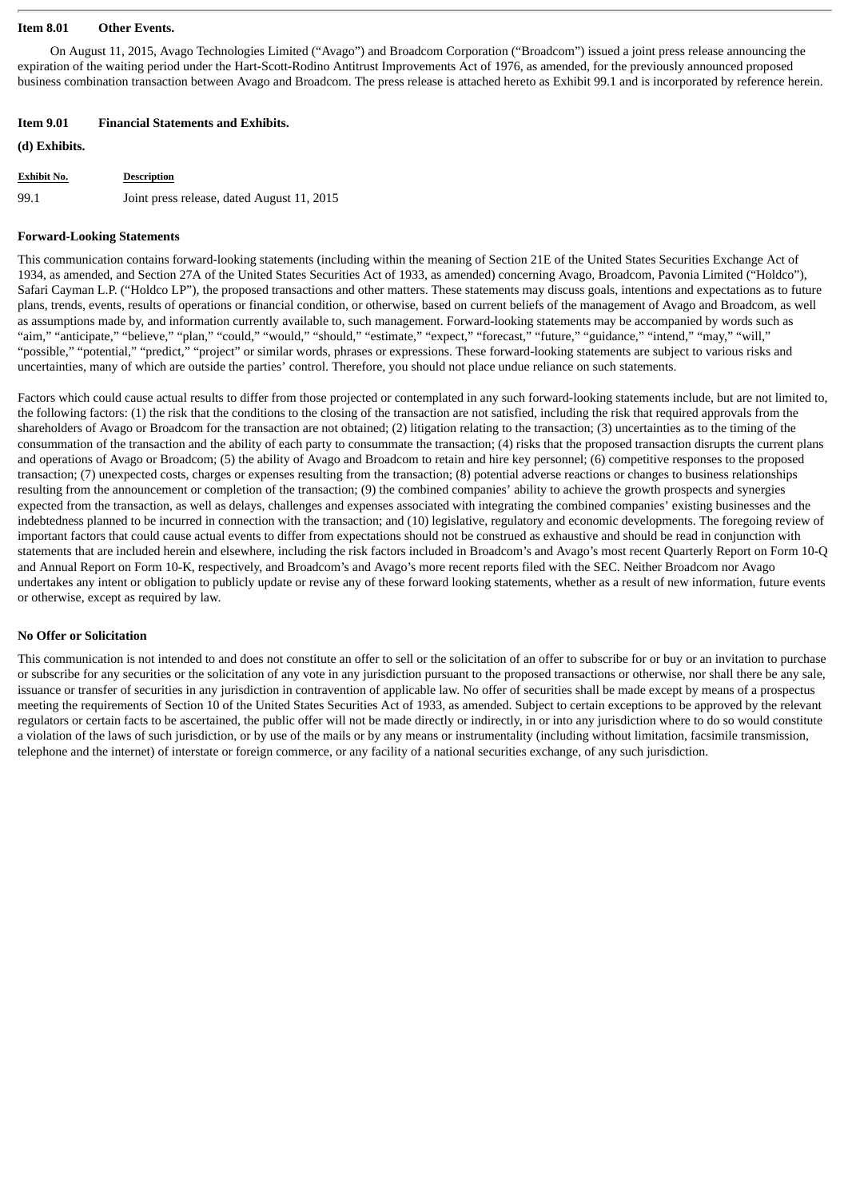#### **Item 8.01 Other Events.**

On August 11, 2015, Avago Technologies Limited ("Avago") and Broadcom Corporation ("Broadcom") issued a joint press release announcing the expiration of the waiting period under the Hart-Scott-Rodino Antitrust Improvements Act of 1976, as amended, for the previously announced proposed business combination transaction between Avago and Broadcom. The press release is attached hereto as Exhibit 99.1 and is incorporated by reference herein.

#### **Item 9.01 Financial Statements and Exhibits.**

**(d) Exhibits.**

| <b>Exhibit No.</b> | <b>Description</b>                         |
|--------------------|--------------------------------------------|
| 99.1               | Joint press release, dated August 11, 2015 |

#### **Forward-Looking Statements**

This communication contains forward-looking statements (including within the meaning of Section 21E of the United States Securities Exchange Act of 1934, as amended, and Section 27A of the United States Securities Act of 1933, as amended) concerning Avago, Broadcom, Pavonia Limited ("Holdco"), Safari Cayman L.P. ("Holdco LP"), the proposed transactions and other matters. These statements may discuss goals, intentions and expectations as to future plans, trends, events, results of operations or financial condition, or otherwise, based on current beliefs of the management of Avago and Broadcom, as well as assumptions made by, and information currently available to, such management. Forward-looking statements may be accompanied by words such as "aim," "anticipate," "believe," "plan," "could," "would," "should," "estimate," "expect," "forecast," "future," "guidance," "intend," "may," "will," "possible," "potential," "predict," "project" or similar words, phrases or expressions. These forward-looking statements are subject to various risks and uncertainties, many of which are outside the parties' control. Therefore, you should not place undue reliance on such statements.

Factors which could cause actual results to differ from those projected or contemplated in any such forward-looking statements include, but are not limited to, the following factors: (1) the risk that the conditions to the closing of the transaction are not satisfied, including the risk that required approvals from the shareholders of Avago or Broadcom for the transaction are not obtained; (2) litigation relating to the transaction; (3) uncertainties as to the timing of the consummation of the transaction and the ability of each party to consummate the transaction; (4) risks that the proposed transaction disrupts the current plans and operations of Avago or Broadcom; (5) the ability of Avago and Broadcom to retain and hire key personnel; (6) competitive responses to the proposed transaction; (7) unexpected costs, charges or expenses resulting from the transaction; (8) potential adverse reactions or changes to business relationships resulting from the announcement or completion of the transaction; (9) the combined companies' ability to achieve the growth prospects and synergies expected from the transaction, as well as delays, challenges and expenses associated with integrating the combined companies' existing businesses and the indebtedness planned to be incurred in connection with the transaction; and (10) legislative, regulatory and economic developments. The foregoing review of important factors that could cause actual events to differ from expectations should not be construed as exhaustive and should be read in conjunction with statements that are included herein and elsewhere, including the risk factors included in Broadcom's and Avago's most recent Quarterly Report on Form 10-Q and Annual Report on Form 10-K, respectively, and Broadcom's and Avago's more recent reports filed with the SEC. Neither Broadcom nor Avago undertakes any intent or obligation to publicly update or revise any of these forward looking statements, whether as a result of new information, future events or otherwise, except as required by law.

#### **No Offer or Solicitation**

This communication is not intended to and does not constitute an offer to sell or the solicitation of an offer to subscribe for or buy or an invitation to purchase or subscribe for any securities or the solicitation of any vote in any jurisdiction pursuant to the proposed transactions or otherwise, nor shall there be any sale, issuance or transfer of securities in any jurisdiction in contravention of applicable law. No offer of securities shall be made except by means of a prospectus meeting the requirements of Section 10 of the United States Securities Act of 1933, as amended. Subject to certain exceptions to be approved by the relevant regulators or certain facts to be ascertained, the public offer will not be made directly or indirectly, in or into any jurisdiction where to do so would constitute a violation of the laws of such jurisdiction, or by use of the mails or by any means or instrumentality (including without limitation, facsimile transmission, telephone and the internet) of interstate or foreign commerce, or any facility of a national securities exchange, of any such jurisdiction.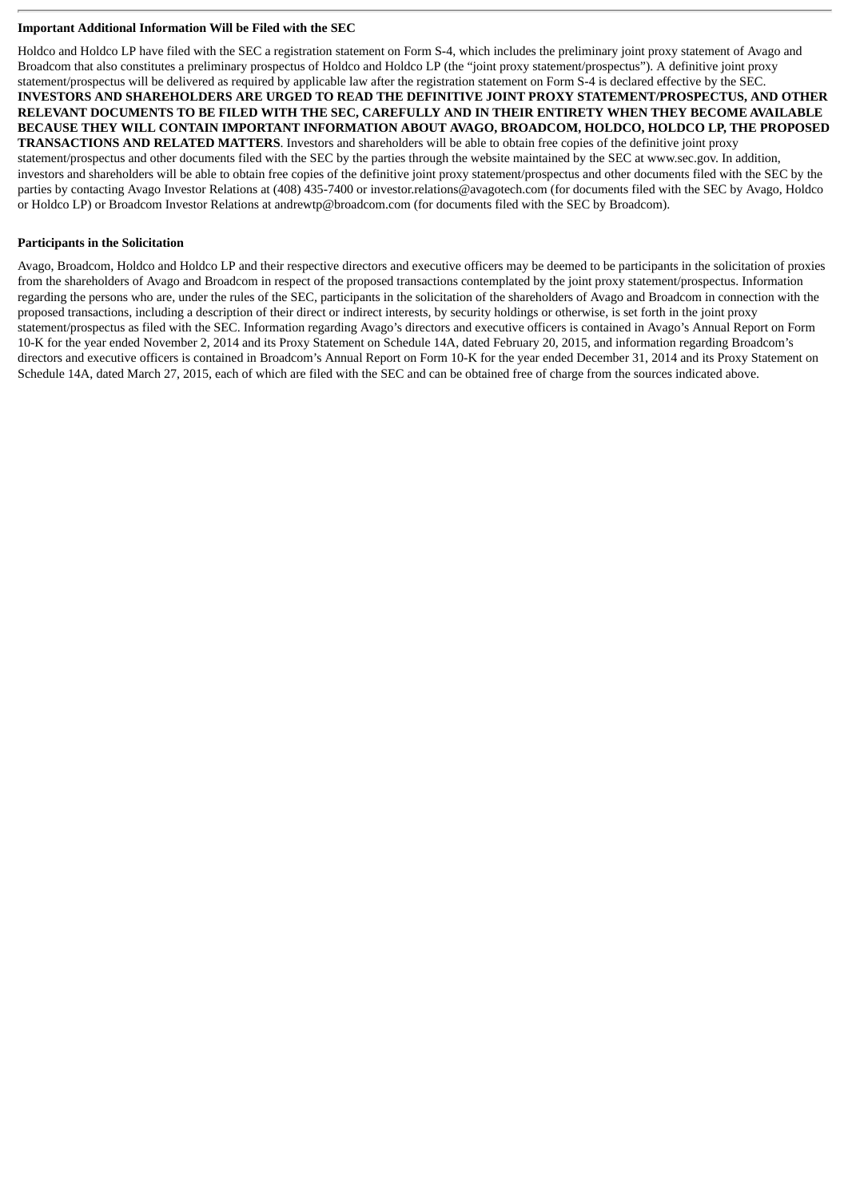#### **Important Additional Information Will be Filed with the SEC**

Holdco and Holdco LP have filed with the SEC a registration statement on Form S-4, which includes the preliminary joint proxy statement of Avago and Broadcom that also constitutes a preliminary prospectus of Holdco and Holdco LP (the "joint proxy statement/prospectus"). A definitive joint proxy statement/prospectus will be delivered as required by applicable law after the registration statement on Form S-4 is declared effective by the SEC. **INVESTORS AND SHAREHOLDERS ARE URGED TO READ THE DEFINITIVE JOINT PROXY STATEMENT/PROSPECTUS, AND OTHER RELEVANT DOCUMENTS TO BE FILED WITH THE SEC, CAREFULLY AND IN THEIR ENTIRETY WHEN THEY BECOME AVAILABLE BECAUSE THEY WILL CONTAIN IMPORTANT INFORMATION ABOUT AVAGO, BROADCOM, HOLDCO, HOLDCO LP, THE PROPOSED TRANSACTIONS AND RELATED MATTERS**. Investors and shareholders will be able to obtain free copies of the definitive joint proxy statement/prospectus and other documents filed with the SEC by the parties through the website maintained by the SEC at www.sec.gov. In addition, investors and shareholders will be able to obtain free copies of the definitive joint proxy statement/prospectus and other documents filed with the SEC by the parties by contacting Avago Investor Relations at (408) 435-7400 or investor.relations@avagotech.com (for documents filed with the SEC by Avago, Holdco or Holdco LP) or Broadcom Investor Relations at andrewtp@broadcom.com (for documents filed with the SEC by Broadcom).

#### **Participants in the Solicitation**

Avago, Broadcom, Holdco and Holdco LP and their respective directors and executive officers may be deemed to be participants in the solicitation of proxies from the shareholders of Avago and Broadcom in respect of the proposed transactions contemplated by the joint proxy statement/prospectus. Information regarding the persons who are, under the rules of the SEC, participants in the solicitation of the shareholders of Avago and Broadcom in connection with the proposed transactions, including a description of their direct or indirect interests, by security holdings or otherwise, is set forth in the joint proxy statement/prospectus as filed with the SEC. Information regarding Avago's directors and executive officers is contained in Avago's Annual Report on Form 10-K for the year ended November 2, 2014 and its Proxy Statement on Schedule 14A, dated February 20, 2015, and information regarding Broadcom's directors and executive officers is contained in Broadcom's Annual Report on Form 10-K for the year ended December 31, 2014 and its Proxy Statement on Schedule 14A, dated March 27, 2015, each of which are filed with the SEC and can be obtained free of charge from the sources indicated above.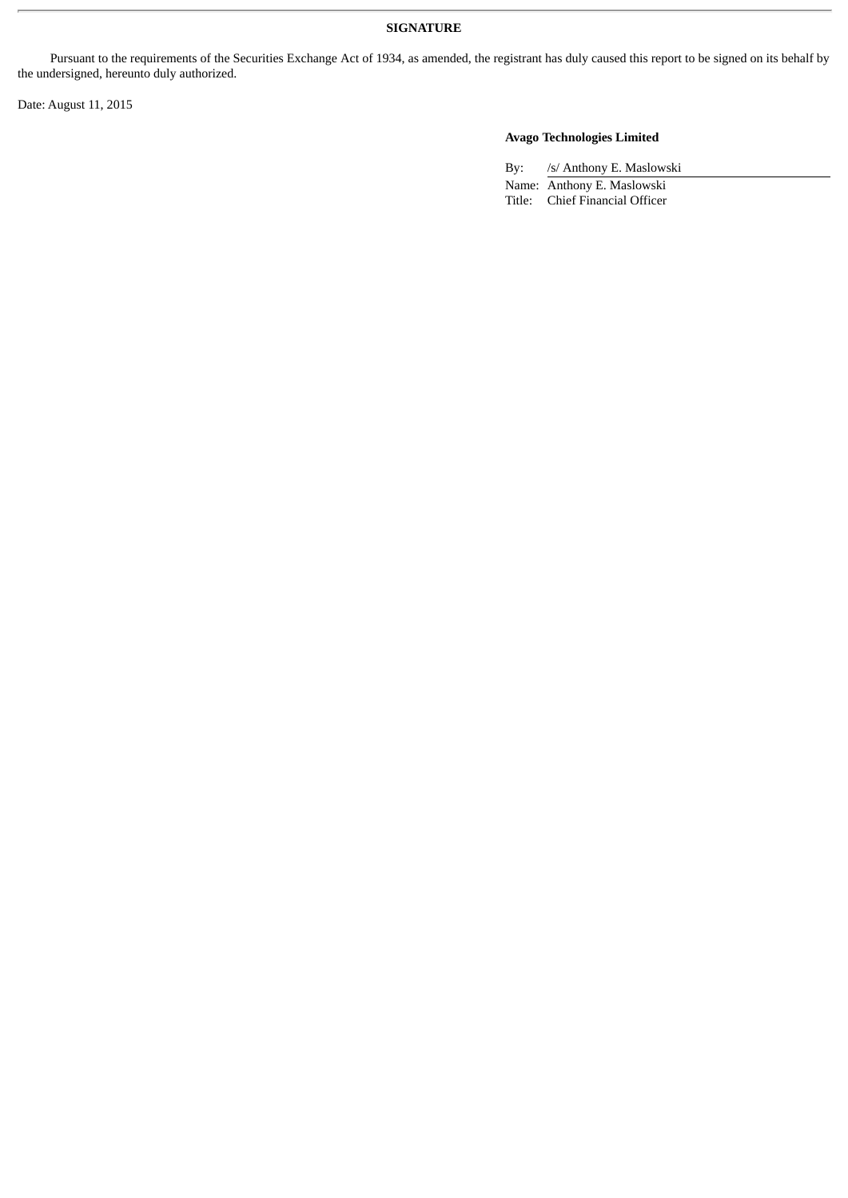Pursuant to the requirements of the Securities Exchange Act of 1934, as amended, the registrant has duly caused this report to be signed on its behalf by the undersigned, hereunto duly authorized.

Date: August 11, 2015

## **Avago Technologies Limited**

By: /s/ Anthony E. Maslowski Name: Anthony E. Maslowski Title: Chief Financial Officer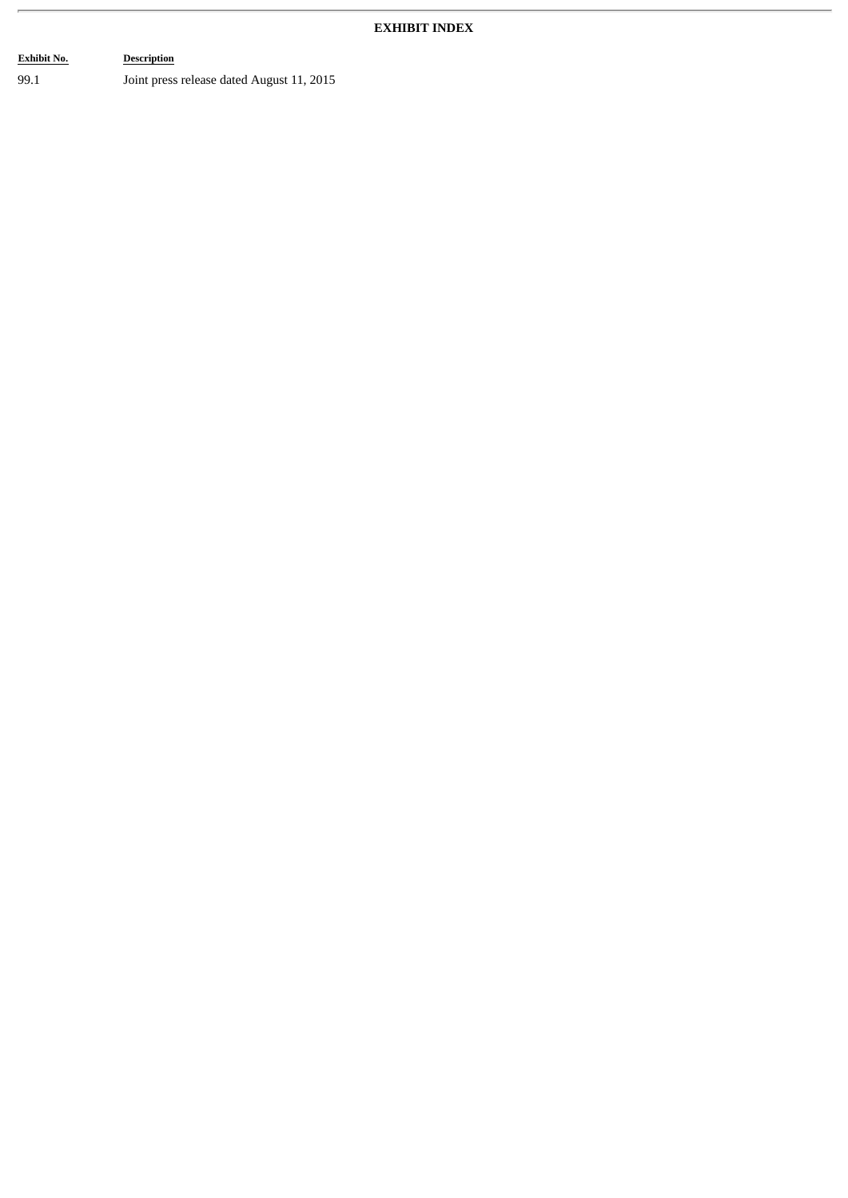## **EXHIBIT INDEX**

## **Exhibit No. Description** 99.1 Joint press release dated August 11, 2015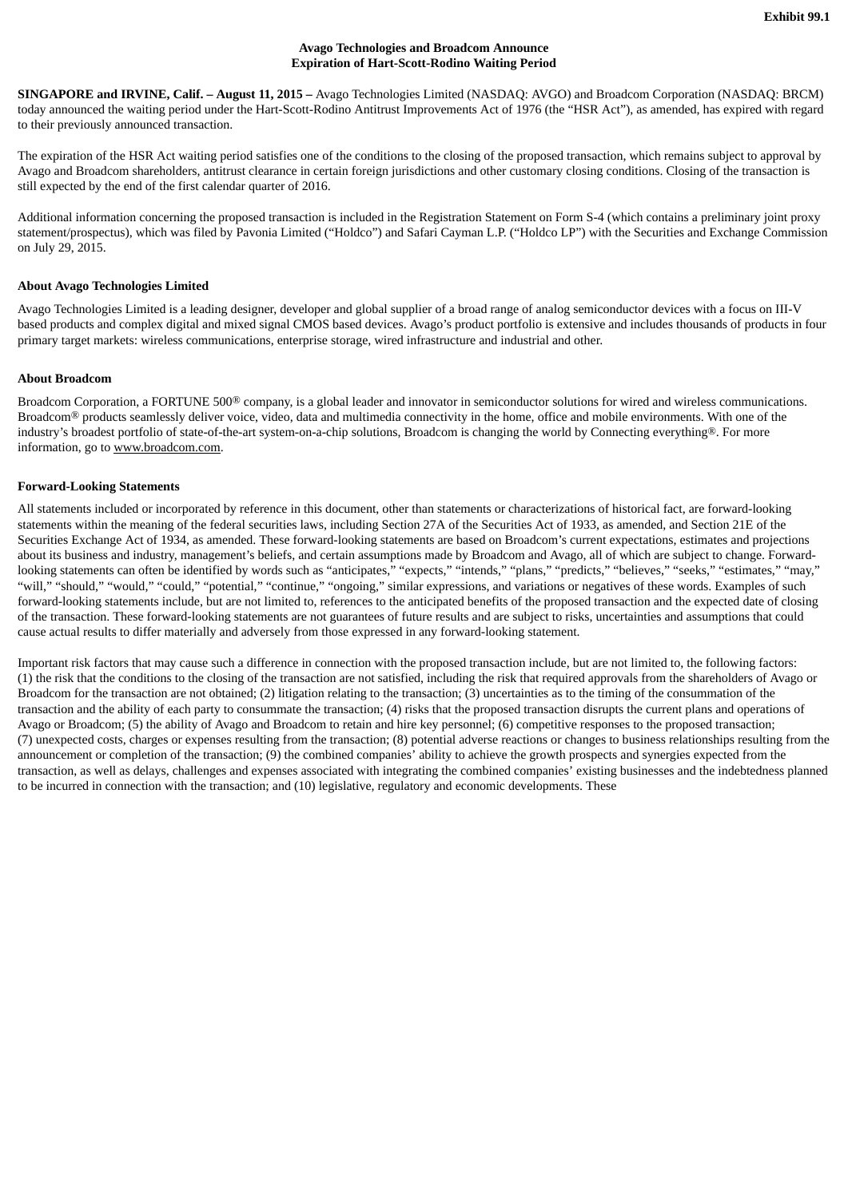#### **Avago Technologies and Broadcom Announce Expiration of Hart-Scott-Rodino Waiting Period**

**SINGAPORE and IRVINE, Calif. – August 11, 2015 –** Avago Technologies Limited (NASDAQ: AVGO) and Broadcom Corporation (NASDAQ: BRCM) today announced the waiting period under the Hart-Scott-Rodino Antitrust Improvements Act of 1976 (the "HSR Act"), as amended, has expired with regard to their previously announced transaction.

The expiration of the HSR Act waiting period satisfies one of the conditions to the closing of the proposed transaction, which remains subject to approval by Avago and Broadcom shareholders, antitrust clearance in certain foreign jurisdictions and other customary closing conditions. Closing of the transaction is still expected by the end of the first calendar quarter of 2016.

Additional information concerning the proposed transaction is included in the Registration Statement on Form S-4 (which contains a preliminary joint proxy statement/prospectus), which was filed by Pavonia Limited ("Holdco") and Safari Cayman L.P. ("Holdco LP") with the Securities and Exchange Commission on July 29, 2015.

#### **About Avago Technologies Limited**

Avago Technologies Limited is a leading designer, developer and global supplier of a broad range of analog semiconductor devices with a focus on III-V based products and complex digital and mixed signal CMOS based devices. Avago's product portfolio is extensive and includes thousands of products in four primary target markets: wireless communications, enterprise storage, wired infrastructure and industrial and other.

#### **About Broadcom**

Broadcom Corporation, a FORTUNE 500<sup>®</sup> company, is a global leader and innovator in semiconductor solutions for wired and wireless communications. Broadcom<sup>®</sup> products seamlessly deliver voice, video, data and multimedia connectivity in the home, office and mobile environments. With one of the industry's broadest portfolio of state-of-the-art system-on-a-chip solutions, Broadcom is changing the world by Connecting everything®. For more information, go to www.broadcom.com.

#### **Forward-Looking Statements**

All statements included or incorporated by reference in this document, other than statements or characterizations of historical fact, are forward-looking statements within the meaning of the federal securities laws, including Section 27A of the Securities Act of 1933, as amended, and Section 21E of the Securities Exchange Act of 1934, as amended. These forward-looking statements are based on Broadcom's current expectations, estimates and projections about its business and industry, management's beliefs, and certain assumptions made by Broadcom and Avago, all of which are subject to change. Forwardlooking statements can often be identified by words such as "anticipates," "expects," "intends," "plans," "predicts," "believes," "seeks," "estimates," "may," "will," "should," "would," "could," "potential," "continue," "ongoing," similar expressions, and variations or negatives of these words. Examples of such forward-looking statements include, but are not limited to, references to the anticipated benefits of the proposed transaction and the expected date of closing of the transaction. These forward-looking statements are not guarantees of future results and are subject to risks, uncertainties and assumptions that could cause actual results to differ materially and adversely from those expressed in any forward-looking statement.

Important risk factors that may cause such a difference in connection with the proposed transaction include, but are not limited to, the following factors: (1) the risk that the conditions to the closing of the transaction are not satisfied, including the risk that required approvals from the shareholders of Avago or Broadcom for the transaction are not obtained; (2) litigation relating to the transaction; (3) uncertainties as to the timing of the consummation of the transaction and the ability of each party to consummate the transaction; (4) risks that the proposed transaction disrupts the current plans and operations of Avago or Broadcom; (5) the ability of Avago and Broadcom to retain and hire key personnel; (6) competitive responses to the proposed transaction; (7) unexpected costs, charges or expenses resulting from the transaction; (8) potential adverse reactions or changes to business relationships resulting from the announcement or completion of the transaction; (9) the combined companies' ability to achieve the growth prospects and synergies expected from the transaction, as well as delays, challenges and expenses associated with integrating the combined companies' existing businesses and the indebtedness planned to be incurred in connection with the transaction; and (10) legislative, regulatory and economic developments. These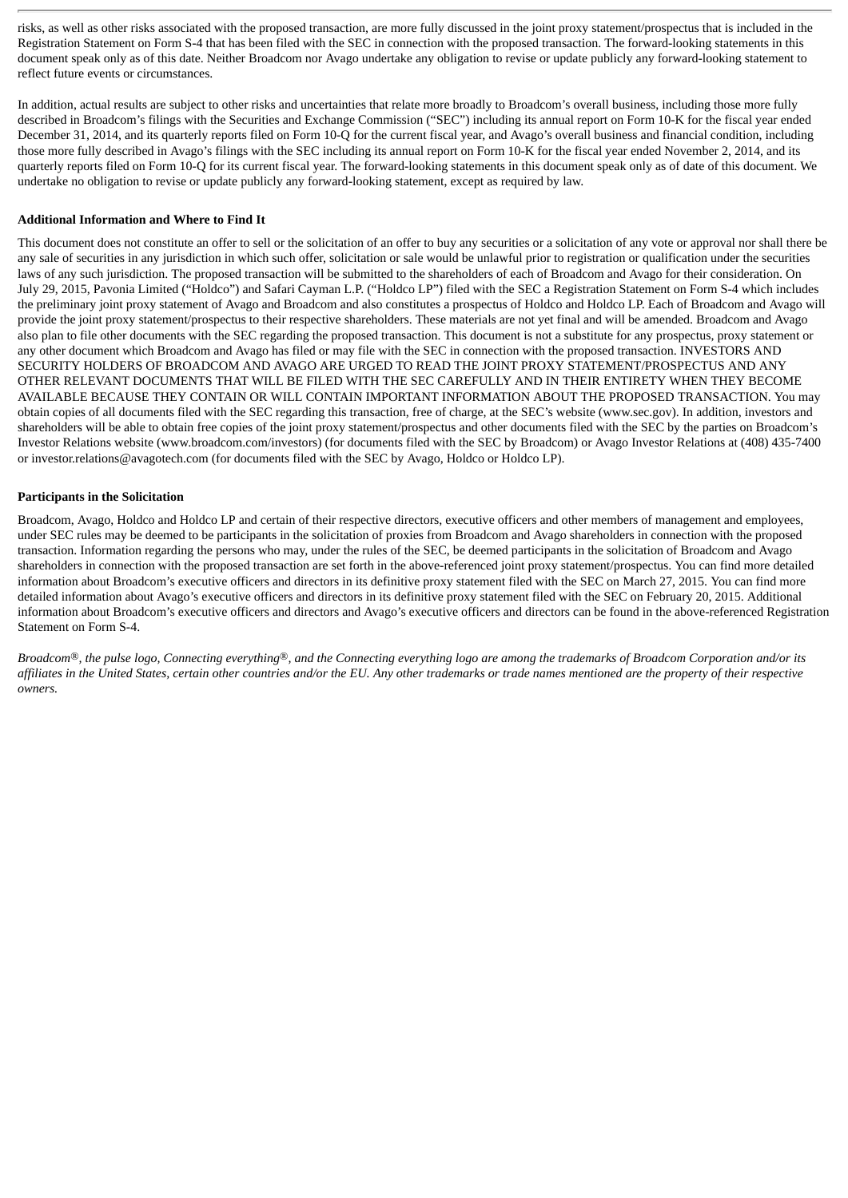risks, as well as other risks associated with the proposed transaction, are more fully discussed in the joint proxy statement/prospectus that is included in the Registration Statement on Form S-4 that has been filed with the SEC in connection with the proposed transaction. The forward-looking statements in this document speak only as of this date. Neither Broadcom nor Avago undertake any obligation to revise or update publicly any forward-looking statement to reflect future events or circumstances.

In addition, actual results are subject to other risks and uncertainties that relate more broadly to Broadcom's overall business, including those more fully described in Broadcom's filings with the Securities and Exchange Commission ("SEC") including its annual report on Form 10-K for the fiscal year ended December 31, 2014, and its quarterly reports filed on Form 10-Q for the current fiscal year, and Avago's overall business and financial condition, including those more fully described in Avago's filings with the SEC including its annual report on Form 10-K for the fiscal year ended November 2, 2014, and its quarterly reports filed on Form 10-Q for its current fiscal year. The forward-looking statements in this document speak only as of date of this document. We undertake no obligation to revise or update publicly any forward-looking statement, except as required by law.

#### **Additional Information and Where to Find It**

This document does not constitute an offer to sell or the solicitation of an offer to buy any securities or a solicitation of any vote or approval nor shall there be any sale of securities in any jurisdiction in which such offer, solicitation or sale would be unlawful prior to registration or qualification under the securities laws of any such jurisdiction. The proposed transaction will be submitted to the shareholders of each of Broadcom and Avago for their consideration. On July 29, 2015, Pavonia Limited ("Holdco") and Safari Cayman L.P. ("Holdco LP") filed with the SEC a Registration Statement on Form S-4 which includes the preliminary joint proxy statement of Avago and Broadcom and also constitutes a prospectus of Holdco and Holdco LP. Each of Broadcom and Avago will provide the joint proxy statement/prospectus to their respective shareholders. These materials are not yet final and will be amended. Broadcom and Avago also plan to file other documents with the SEC regarding the proposed transaction. This document is not a substitute for any prospectus, proxy statement or any other document which Broadcom and Avago has filed or may file with the SEC in connection with the proposed transaction. INVESTORS AND SECURITY HOLDERS OF BROADCOM AND AVAGO ARE URGED TO READ THE JOINT PROXY STATEMENT/PROSPECTUS AND ANY OTHER RELEVANT DOCUMENTS THAT WILL BE FILED WITH THE SEC CAREFULLY AND IN THEIR ENTIRETY WHEN THEY BECOME AVAILABLE BECAUSE THEY CONTAIN OR WILL CONTAIN IMPORTANT INFORMATION ABOUT THE PROPOSED TRANSACTION. You may obtain copies of all documents filed with the SEC regarding this transaction, free of charge, at the SEC's website (www.sec.gov). In addition, investors and shareholders will be able to obtain free copies of the joint proxy statement/prospectus and other documents filed with the SEC by the parties on Broadcom's Investor Relations website (www.broadcom.com/investors) (for documents filed with the SEC by Broadcom) or Avago Investor Relations at (408) 435-7400 or investor.relations@avagotech.com (for documents filed with the SEC by Avago, Holdco or Holdco LP).

#### **Participants in the Solicitation**

Broadcom, Avago, Holdco and Holdco LP and certain of their respective directors, executive officers and other members of management and employees, under SEC rules may be deemed to be participants in the solicitation of proxies from Broadcom and Avago shareholders in connection with the proposed transaction. Information regarding the persons who may, under the rules of the SEC, be deemed participants in the solicitation of Broadcom and Avago shareholders in connection with the proposed transaction are set forth in the above-referenced joint proxy statement/prospectus. You can find more detailed information about Broadcom's executive officers and directors in its definitive proxy statement filed with the SEC on March 27, 2015. You can find more detailed information about Avago's executive officers and directors in its definitive proxy statement filed with the SEC on February 20, 2015. Additional information about Broadcom's executive officers and directors and Avago's executive officers and directors can be found in the above-referenced Registration Statement on Form S-4.

Broadcom®, the pulse logo, Connecting everything®, and the Connecting everything logo are among the trademarks of Broadcom Corporation and/or its affiliates in the United States, certain other countries and/or the EU. Any other trademarks or trade names mentioned are the property of their respective *owners.*